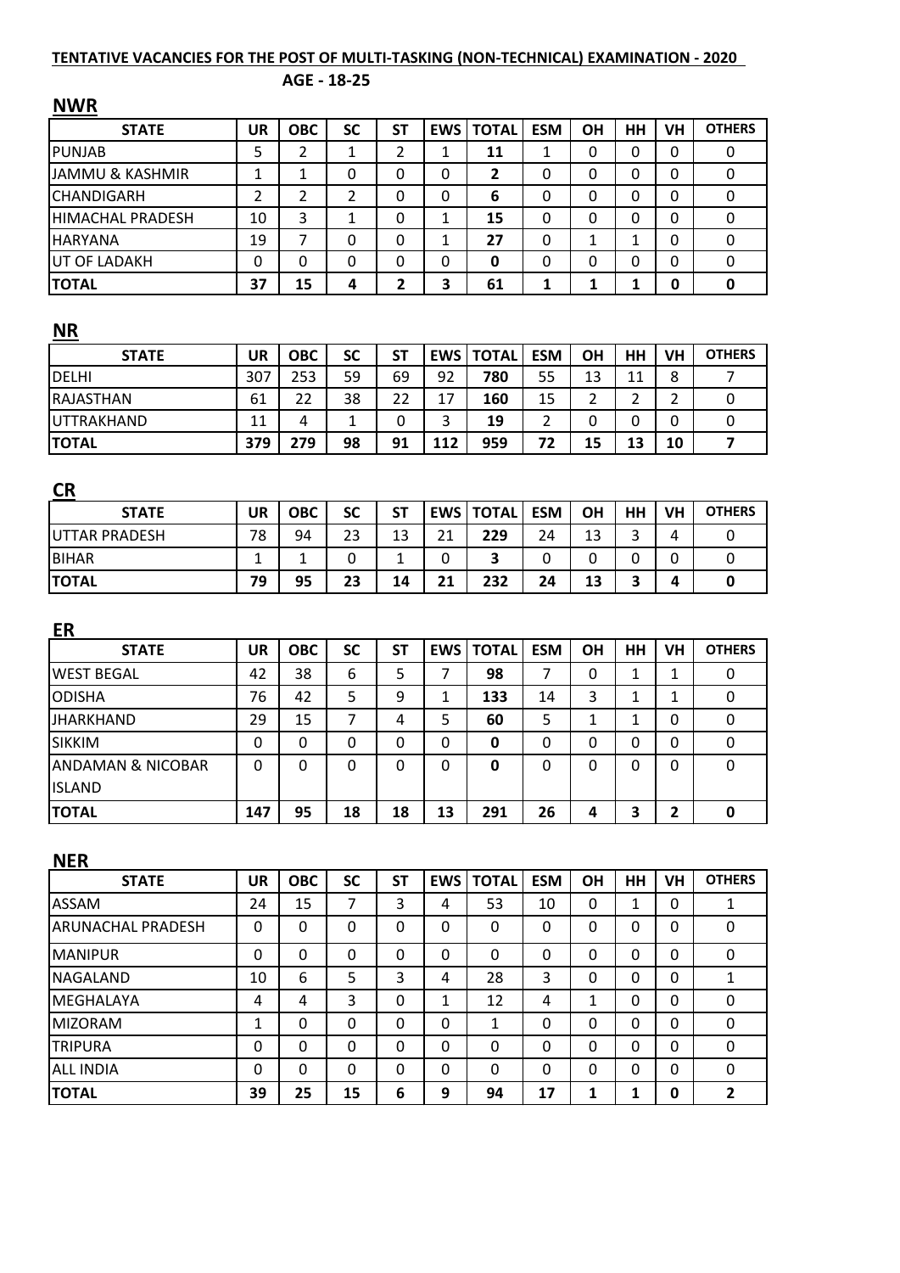# **TENTATIVE VACANCIES FOR THE POST OF MULTI-TASKING (NON-TECHNICAL) EXAMINATION - 2020**

## **AGE - 18-25**

| <b>UR</b>      | <b>OBC</b>                                                 | <b>SC</b>                                                            | <b>ST</b>                                                                 |                                                            | <b>TOTAL</b>                                                                                           | <b>ESM</b>                                                                             | <b>OH</b>                                                       | <b>HH</b>                                                | <b>VH</b>                                                                             | <b>OTHERS</b>                                                                                  |
|----------------|------------------------------------------------------------|----------------------------------------------------------------------|---------------------------------------------------------------------------|------------------------------------------------------------|--------------------------------------------------------------------------------------------------------|----------------------------------------------------------------------------------------|-----------------------------------------------------------------|----------------------------------------------------------|---------------------------------------------------------------------------------------|------------------------------------------------------------------------------------------------|
| 5              | $\overline{2}$                                             | $\mathbf{1}$                                                         | $\overline{2}$                                                            | $\mathbf{1}$                                               | 11                                                                                                     | $\mathbf{1}$                                                                           | $\mathbf 0$                                                     | 0                                                        | $\Omega$                                                                              | $\Omega$                                                                                       |
| $\mathbf{1}$   | $\mathbf{1}$                                               | 0                                                                    | $\mathbf 0$                                                               | 0                                                          | $\overline{2}$                                                                                         | 0                                                                                      | $\mathbf 0$                                                     | $\mathbf 0$                                              | 0                                                                                     | $\overline{0}$                                                                                 |
| $\overline{2}$ | $\overline{2}$                                             | $\overline{2}$                                                       | $\mathbf 0$                                                               | $\mathbf 0$                                                | 6                                                                                                      | 0                                                                                      | $\mathbf 0$                                                     | $\mathbf 0$                                              | $\mathbf 0$                                                                           | $\overline{0}$                                                                                 |
| 10             | 3                                                          | $\mathbf{1}$                                                         | 0                                                                         | 1                                                          | 15                                                                                                     | 0                                                                                      | 0                                                               | $\Omega$                                                 | $\Omega$                                                                              | 0                                                                                              |
| 19             | $\overline{7}$                                             | 0                                                                    | 0                                                                         | 1                                                          | 27                                                                                                     | 0                                                                                      | $\mathbf{1}$                                                    | 1                                                        | $\Omega$                                                                              | 0                                                                                              |
| 0              | $\mathbf 0$                                                | 0                                                                    | $\mathbf 0$                                                               | 0                                                          | 0                                                                                                      | 0                                                                                      | 0                                                               | 0                                                        | 0                                                                                     | 0                                                                                              |
| 37             | 15                                                         | 4                                                                    | $\overline{2}$                                                            | 3                                                          | 61                                                                                                     | 1                                                                                      | 1                                                               | $\mathbf{1}$                                             | 0                                                                                     | 0                                                                                              |
|                |                                                            |                                                                      |                                                                           |                                                            |                                                                                                        |                                                                                        |                                                                 |                                                          |                                                                                       |                                                                                                |
| <b>UR</b>      | <b>OBC</b>                                                 | <b>SC</b>                                                            | <b>ST</b>                                                                 | <b>EWS</b>                                                 | <b>TOTAL</b>                                                                                           | <b>ESM</b>                                                                             | OH                                                              | <b>HH</b>                                                | <b>VH</b>                                                                             | <b>OTHERS</b>                                                                                  |
| 307            | 253                                                        | 59                                                                   | 69                                                                        | 92                                                         | 780                                                                                                    | 55                                                                                     | 13                                                              | 11                                                       | 8                                                                                     | $\overline{7}$                                                                                 |
| 61             | 22                                                         | 38                                                                   | 22                                                                        | 17                                                         | 160                                                                                                    | 15                                                                                     | $\overline{2}$                                                  | $\overline{2}$                                           | $\overline{2}$                                                                        | 0                                                                                              |
| 11             | $\overline{4}$                                             | 1                                                                    | 0                                                                         | 3                                                          | 19                                                                                                     | $\overline{2}$                                                                         | 0                                                               | 0                                                        | 0                                                                                     | 0                                                                                              |
| 379            | 279                                                        | 98                                                                   | 91                                                                        | 112                                                        | 959                                                                                                    | 72                                                                                     | 15                                                              | 13                                                       | 10                                                                                    | $\overline{7}$                                                                                 |
|                |                                                            |                                                                      |                                                                           |                                                            |                                                                                                        |                                                                                        |                                                                 |                                                          |                                                                                       |                                                                                                |
|                |                                                            |                                                                      |                                                                           |                                                            |                                                                                                        |                                                                                        |                                                                 |                                                          |                                                                                       | <b>OTHERS</b>                                                                                  |
|                | 94                                                         | 23                                                                   | 13                                                                        |                                                            | 229                                                                                                    | 24                                                                                     | 13                                                              |                                                          | 4                                                                                     | 0                                                                                              |
| $\mathbf{1}$   | $\mathbf{1}$                                               | 0                                                                    | $\mathbf{1}$                                                              | 0                                                          | $\overline{\mathbf{3}}$                                                                                | 0                                                                                      | 0                                                               | $\Omega$                                                 | $\Omega$                                                                              | 0                                                                                              |
| 79             | 95                                                         | 23                                                                   | 14                                                                        | 21                                                         | 232                                                                                                    | 24                                                                                     | 13                                                              | 3                                                        | $\overline{\mathbf{4}}$                                                               | $\mathbf 0$                                                                                    |
|                |                                                            |                                                                      |                                                                           |                                                            |                                                                                                        |                                                                                        |                                                                 |                                                          |                                                                                       |                                                                                                |
|                |                                                            |                                                                      |                                                                           |                                                            |                                                                                                        |                                                                                        |                                                                 |                                                          |                                                                                       | <b>OTHERS</b>                                                                                  |
|                |                                                            |                                                                      |                                                                           |                                                            |                                                                                                        |                                                                                        |                                                                 |                                                          |                                                                                       | 0                                                                                              |
|                |                                                            |                                                                      |                                                                           |                                                            |                                                                                                        |                                                                                        |                                                                 |                                                          |                                                                                       | 0                                                                                              |
|                |                                                            |                                                                      |                                                                           |                                                            |                                                                                                        |                                                                                        |                                                                 |                                                          |                                                                                       | 0                                                                                              |
|                |                                                            |                                                                      |                                                                           |                                                            |                                                                                                        |                                                                                        |                                                                 |                                                          |                                                                                       | 0                                                                                              |
| 0              |                                                            |                                                                      | 0                                                                         |                                                            | 0                                                                                                      |                                                                                        |                                                                 |                                                          |                                                                                       | $\mathbf 0$                                                                                    |
|                |                                                            |                                                                      |                                                                           |                                                            |                                                                                                        |                                                                                        |                                                                 |                                                          |                                                                                       |                                                                                                |
|                |                                                            |                                                                      |                                                                           |                                                            |                                                                                                        |                                                                                        |                                                                 |                                                          |                                                                                       | $\mathbf 0$                                                                                    |
|                |                                                            |                                                                      |                                                                           |                                                            |                                                                                                        |                                                                                        |                                                                 |                                                          |                                                                                       |                                                                                                |
| <b>UR</b>      | <b>OBC</b>                                                 | <b>SC</b>                                                            | <b>ST</b>                                                                 |                                                            | <b>TOTAL</b>                                                                                           | <b>ESM</b>                                                                             | <b>OH</b>                                                       | <b>HH</b>                                                | <b>VH</b>                                                                             | <b>OTHERS</b>                                                                                  |
| 24             | 15                                                         | $\overline{7}$                                                       | $\overline{3}$                                                            | 4                                                          | 53                                                                                                     | 10                                                                                     | 0                                                               | $\mathbf{1}$                                             | $\Omega$                                                                              | $\mathbf{1}$                                                                                   |
| 0              | 0                                                          | 0                                                                    | 0                                                                         | 0                                                          | $\mathbf{0}$                                                                                           | 0                                                                                      | 0                                                               | 0                                                        | 0                                                                                     | $\mathbf 0$                                                                                    |
| 0              | 0                                                          | 0                                                                    | 0                                                                         | 0                                                          | 0                                                                                                      | 0                                                                                      | 0                                                               | $\Omega$                                                 | 0                                                                                     | 0                                                                                              |
| 10             | 6                                                          | 5                                                                    | 3                                                                         | 4                                                          | 28                                                                                                     | 3                                                                                      | 0                                                               | $\Omega$                                                 | $\Omega$                                                                              | $\mathbf{1}$                                                                                   |
| 4              | 4                                                          | 3                                                                    | 0                                                                         | 1                                                          | 12                                                                                                     | 4                                                                                      | $\mathbf{1}$                                                    | 0                                                        | 0                                                                                     | 0                                                                                              |
| 1              | 0                                                          | 0                                                                    | 0                                                                         | 0                                                          | $\mathbf{1}$                                                                                           | 0                                                                                      | 0                                                               | $\Omega$                                                 | 0                                                                                     | $\mathbf 0$                                                                                    |
| 0              | 0                                                          | 0                                                                    | 0                                                                         | 0                                                          | 0                                                                                                      | 0                                                                                      | 0                                                               | 0                                                        | 0                                                                                     | 0                                                                                              |
| 0              | $\mathbf 0$                                                | 0                                                                    | 0                                                                         | 0                                                          | 0                                                                                                      | 0                                                                                      | 0                                                               | 0                                                        | 0                                                                                     | $\mathbf 0$                                                                                    |
| 39             | 25                                                         | 15                                                                   | 6                                                                         | 9                                                          | 94                                                                                                     | 17                                                                                     | $\mathbf{1}$                                                    | 1                                                        | 0                                                                                     | $\overline{2}$                                                                                 |
|                | <b>UR</b><br>78<br><b>UR</b><br>42<br>76<br>29<br>0<br>147 | <b>OBC</b><br><b>OBC</b><br>38<br>42<br>15<br>$\mathbf 0$<br>0<br>95 | <b>SC</b><br><b>SC</b><br>6<br>5<br>$\overline{7}$<br>0<br>$\Omega$<br>18 | <b>ST</b><br><b>ST</b><br>5<br>9<br>4<br>$\mathbf 0$<br>18 | <b>EWS</b><br>21<br><b>EWS</b><br>$\overline{7}$<br>$\mathbf{1}$<br>5<br>$\mathbf 0$<br>$\Omega$<br>13 | EWS  <br><b>TOTAL</b><br><b>TOTAL</b><br>98<br>133<br>60<br>$\mathbf{0}$<br>291<br>EWS | <b>ESM</b><br><b>ESM</b><br>7<br>14<br>5<br>0<br>$\Omega$<br>26 | OH<br><b>OH</b><br>0<br>3<br>$\mathbf{1}$<br>0<br>0<br>4 | <b>HH</b><br>3<br><b>HH</b><br>1<br>$\mathbf{1}$<br>1<br>$\mathbf 0$<br>$\Omega$<br>3 | <b>VH</b><br><b>VH</b><br>$\mathbf{1}$<br>$\mathbf{1}$<br>0<br>0<br>$\Omega$<br>$\overline{2}$ |

**NWR**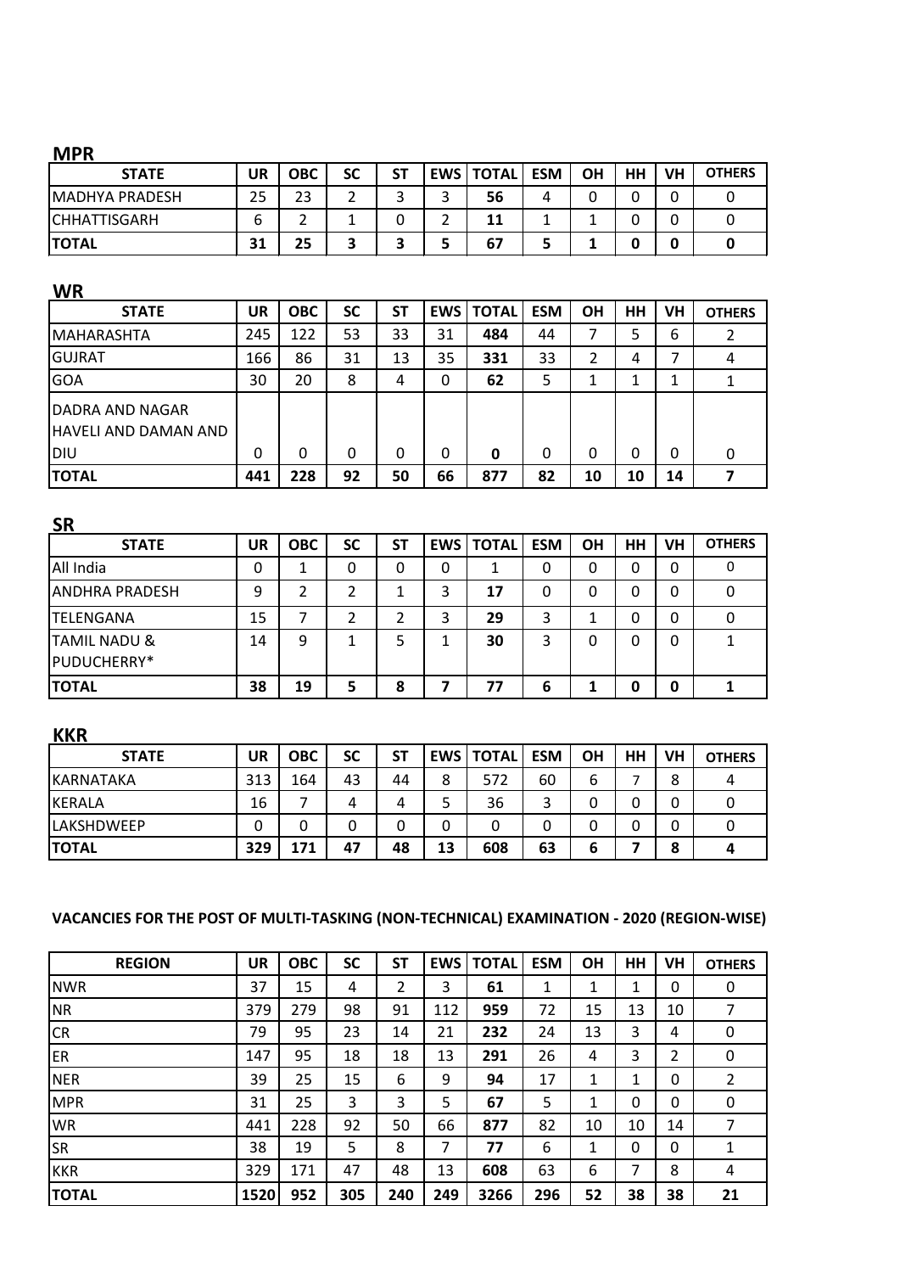#### **MPR**

| <b>STATE</b>        | <b>UR</b> | ОВС | SC | <b>ST</b> | <b>EWS   TOTAL</b> | <b>ESM</b> | <b>OH</b> | HH | <b>VH</b> | <b>OTHERS</b> |
|---------------------|-----------|-----|----|-----------|--------------------|------------|-----------|----|-----------|---------------|
| MADHYA PRADESH      | 25        | 23  |    |           | 56                 |            |           |    |           |               |
| <b>CHHATTISGARH</b> | b         | ◠   |    |           | 11                 |            |           |    |           |               |
| <b>TOTAL</b>        | 31        | 25  |    | -         | 67                 |            |           |    |           |               |

## **WR**

| <b>STATE</b>                                          | UR  | <b>OBC</b> | <b>SC</b> | SΤ | EWS I | <b>TOTAL</b> | <b>ESM</b> | ΟH | HH | VH | <b>OTHERS</b> |
|-------------------------------------------------------|-----|------------|-----------|----|-------|--------------|------------|----|----|----|---------------|
| <b>IMAHARASHTA</b>                                    | 245 | 122        | 53        | 33 | 31    | 484          | 44         |    |    | 6  |               |
| <b>GUJRAT</b>                                         | 166 | 86         | 31        | 13 | 35    | 331          | 33         |    | 4  |    | -4            |
| <b>GOA</b>                                            | 30  | 20         | 8         | 4  | 0     | 62           | 5          |    |    |    |               |
| DADRA AND NAGAR<br>HAVELI AND DAMAN AND<br><b>DIU</b> | 0   | 0          | 0         | 0  | 0     | 0            | 0          | 0  | 0  | 0  | 0             |
| <b>TOTAL</b>                                          | 441 | 228        | 92        | 50 | 66    | 877          | 82         | 10 | 10 | 14 |               |

| <b>SR</b>                              |    |            |           |           |            |              |            |    |    |    |               |
|----------------------------------------|----|------------|-----------|-----------|------------|--------------|------------|----|----|----|---------------|
| <b>STATE</b>                           | UR | <b>OBC</b> | <b>SC</b> | <b>ST</b> | <b>EWS</b> | <b>TOTAL</b> | <b>ESM</b> | ΟH | HН | VH | <b>OTHERS</b> |
| All India                              | 0  | 1          | 0         | 0         | 0          | 1            | 0          | 0  | 0  | 0  |               |
| <b>ANDHRA PRADESH</b>                  | 9  | 2          | 2         |           | 3          | 17           | 0          | 0  | ი  | 0  |               |
| <b>TELENGANA</b>                       | 15 | 7          | າ         | 2         | 3          | 29           | 3          | ٠  |    | 0  |               |
| <b>TAMIL NADU &amp;</b><br>PUDUCHERRY* | 14 | 9          |           | 5         |            | 30           | 3          | 0  |    | 0  |               |
| <b>TOTAL</b>                           | 38 | 19         | 5         | 8         |            | 77           | 6          |    |    | ŋ  |               |

# **KKR**

| <b>STATE</b>      | UR  | <b>OBC</b> | <b>SC</b> | SΤ |    | <b>EWS   TOTAL</b> | <b>ESM</b> | <b>OH</b> | HH | VH | <b>OTHERS</b> |
|-------------------|-----|------------|-----------|----|----|--------------------|------------|-----------|----|----|---------------|
| KARNATAKA         | 313 | 164        | 43        | 44 | 8  | 572                | 60         | b         |    | 8  |               |
| KERALA            | 16  |            | 4         | 4  |    | 36                 | ◠          |           |    |    |               |
| <b>LAKSHDWEEP</b> |     |            |           |    |    |                    |            |           |    |    |               |
| <b>TOTAL</b>      | 329 | 171        | 47        | 48 | 13 | 608                | 63         | O         |    | Ω  |               |

## **VACANCIES FOR THE POST OF MULTI-TASKING (NON-TECHNICAL) EXAMINATION - 2020 (REGION-WISE)**

| <b>REGION</b> | <b>UR</b> | <b>OBC</b> | <b>SC</b> | <b>ST</b> | EWS | <b>TOTAL</b> | <b>ESM</b> | <b>OH</b> | HH | <b>VH</b> | <b>OTHERS</b> |
|---------------|-----------|------------|-----------|-----------|-----|--------------|------------|-----------|----|-----------|---------------|
| <b>NWR</b>    | 37        | 15         | 4         | 2         | 3   | 61           | 1          | 1         | 1  | 0         | 0             |
| <b>NR</b>     | 379       | 279        | 98        | 91        | 112 | 959          | 72         | 15        | 13 | 10        | 7             |
| <b>CR</b>     | 79        | 95         | 23        | 14        | 21  | 232          | 24         | 13        | 3  | 4         | $\Omega$      |
| ER            | 147       | 95         | 18        | 18        | 13  | 291          | 26         | 4         | 3  | 2         | 0             |
| <b>NER</b>    | 39        | 25         | 15        | 6         | 9   | 94           | 17         | 1         | 1  | 0         | 2             |
| <b>MPR</b>    | 31        | 25         | 3         | 3         | 5   | 67           | 5          | 1         | 0  | 0         | 0             |
| <b>WR</b>     | 441       | 228        | 92        | 50        | 66  | 877          | 82         | 10        | 10 | 14        | 7             |
| <b>SR</b>     | 38        | 19         | 5         | 8         | 7   | 77           | 6          | 1         | 0  | 0         | 1             |
| <b>KKR</b>    | 329       | 171        | 47        | 48        | 13  | 608          | 63         | 6         | 7  | 8         | 4             |
| <b>TOTAL</b>  | 1520      | 952        | 305       | 240       | 249 | 3266         | 296        | 52        | 38 | 38        | 21            |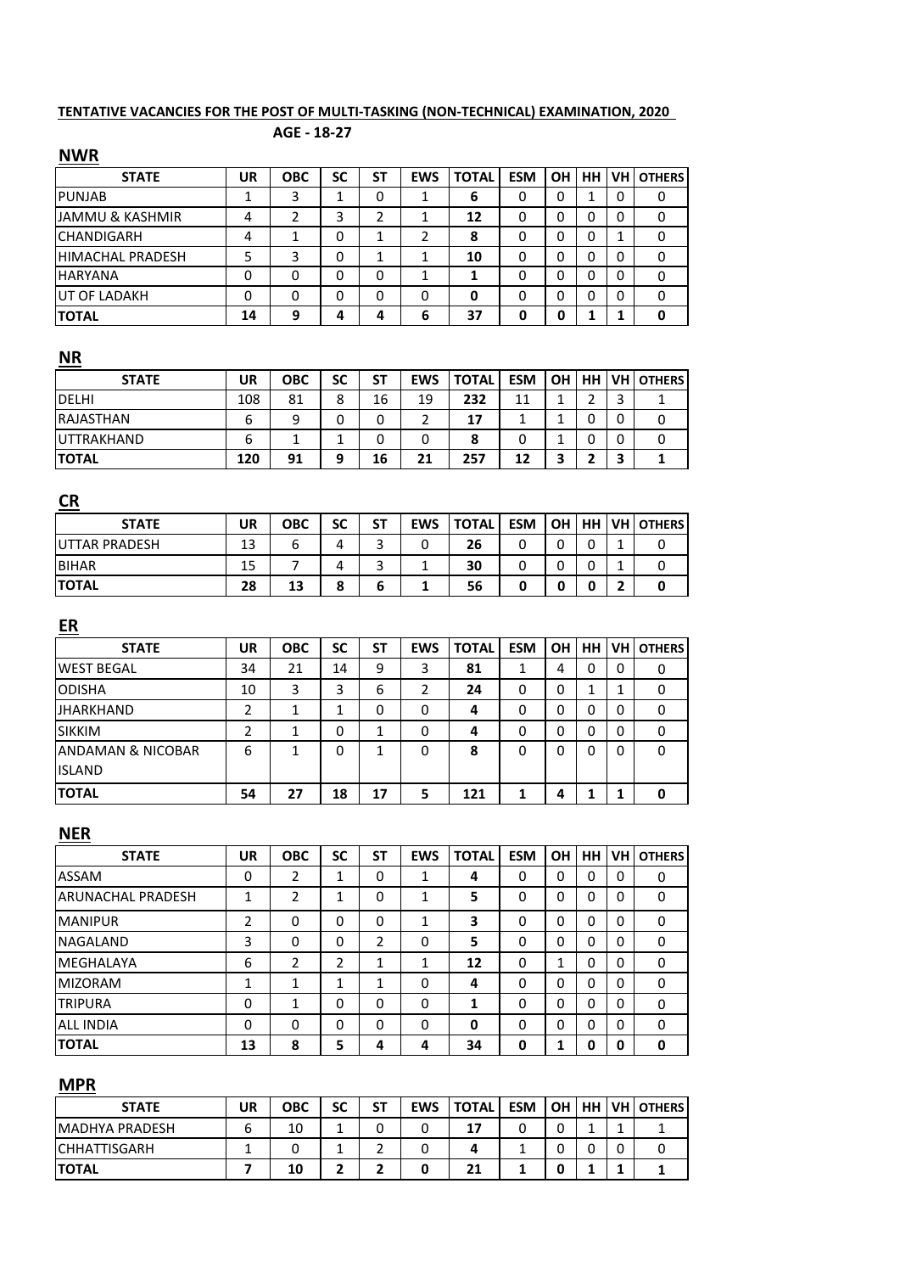#### **TENTATIVE VACANCIES FOR THE POST OF MULTI-TASKING (NON-TECHNICAL) EXAMINATION, 2020**

#### **AGE - 18-27**

#### **NWR**

| <b>STATE</b>               | UR | <b>OBC</b> | SC | SΤ      | <b>EWS</b> | <b>TOTAL</b> | <b>ESM</b> | <b>OH</b> | HH | <b>VH</b> | <b>OTHERS</b> |
|----------------------------|----|------------|----|---------|------------|--------------|------------|-----------|----|-----------|---------------|
| <b>PUNJAB</b>              |    | 3          |    | 0       |            | 6            | 0          | 0         |    | 0         | 0             |
| <b>JAMMU &amp; KASHMIR</b> | 4  | 2          | 3  | 2       |            | 12           | 0          | 0         | 0  | 0         | 0             |
| <b>CHANDIGARH</b>          | 4  |            | 0  | 1<br>J. | 2          | 8            | 0          |           | 0  |           |               |
| <b>HIMACHAL PRADESH</b>    |    | 3          | 0  | 1       |            | 10           | 0          | 0         | 0  | 0         | 0             |
| <b>HARYANA</b>             |    | 0          | 0  | 0       |            |              | 0          | 0         | ი  | 0         |               |
| <b>UT OF LADAKH</b>        |    | 0          | 0  | 0       | 0          | 0            | 0          | 0         | 0  | 0         | 0             |
| <b>TOTAL</b>               | 14 | 9          | 4  | 4       | 6          | 37           | 0          | 0         |    |           |               |

## **NR**

| <b>STATE</b>     | UR  | ОВС | SC | SΤ | <b>EWS</b> | <b>TOTAL</b> | <b>ESM</b> | <b>OH</b> | <b>HH</b> | <b>IVH</b>               | <b>OTHERS</b> |
|------------------|-----|-----|----|----|------------|--------------|------------|-----------|-----------|--------------------------|---------------|
| DELHI            | 108 | 81  | 8  | 16 | 19         | 232          | 11         |           | ∽         | $\overline{\phantom{0}}$ |               |
| <b>RAJASTHAN</b> | ь   | 9   | 0  | 0  |            | 17           |            |           | U         |                          |               |
| UTTRAKHAND       | ь   |     |    | 0  | 0          | 8            |            |           |           |                          | υ             |
| <b>ITOTAL</b>    | 120 | 91  | q  | 16 | 21         | 257          | 12         | ∍         |           | ◠                        |               |

# **CR**

| <b>STATE</b>          | UR | ОВС | SC     | SΤ                  | <b>EWS</b> | <b>TOTAL</b> | <b>ESM</b> | . OH   | HH | <b>VH OTHERS</b> |
|-----------------------|----|-----|--------|---------------------|------------|--------------|------------|--------|----|------------------|
| <b>IUTTAR PRADESH</b> | 13 |     | 4      | ∽<br>ں              | 0          | 26           | u          | ⌒<br>U |    | U                |
| <b>BIHAR</b>          | 15 |     | 4      | $\overline{ }$<br>ں |            | 30           |            | n      |    |                  |
| <b>ITOTAL</b>         | 28 | 13  | o<br>ο | b                   |            | 56           |            |        |    |                  |

| $ER$              |    |            |    |    |            |              |            |           |          |           |               |
|-------------------|----|------------|----|----|------------|--------------|------------|-----------|----------|-----------|---------------|
| <b>STATE</b>      | UR | <b>OBC</b> | SC | SΤ | <b>EWS</b> | <b>TOTAL</b> | <b>ESM</b> | <b>OH</b> | HH.      | <b>VH</b> | <b>OTHERS</b> |
| <b>WEST BEGAL</b> | 34 | 21         | 14 | 9  | 3          | 81           |            | 4         | 0        | 0         | 0             |
| <b>ODISHA</b>     | 10 | 3          | 3  | 6  | 2          | 24           | 0          | 0         | 1        |           | 0             |
| <b>JHARKHAND</b>  | 2  | 1          | 1  | 0  | 0          | 4            | 0          | 0         | 0        | $\Omega$  | 0             |
| <b>SIKKIM</b>     | 2  | 1          | 0  | 1  | 0          | 4            | 0          | 0         | $\Omega$ | $\Omega$  | 0             |
| ANDAMAN & NICOBAR | 6  | 1          | 0  |    | 0          | 8            | 0          | 0         | 0        | $\Omega$  | 0             |
| <b>ISLAND</b>     |    |            |    |    |            |              |            |           |          |           |               |
| <b>TOTAL</b>      | 54 | 27         | 18 | 17 | 5          | 121          |            | 4         |          |           | 0             |

# **NER**

| <b>STATE</b>             | UR     | <b>OBC</b> | <b>SC</b> | SΤ       | <b>EWS</b> | <b>TOTAL</b> | <b>ESM</b>   | <b>OH</b> | <b>HH</b> | VH           | <b>OTHERS</b> |
|--------------------------|--------|------------|-----------|----------|------------|--------------|--------------|-----------|-----------|--------------|---------------|
| ASSAM                    | 0      | 2          | 1         | 0        |            | 4            | $\mathbf{0}$ | $\Omega$  | 0         | $\Omega$     | 0             |
| <b>ARUNACHAL PRADESH</b> | 1      | 2          | 1         | 0        | 1          | 5            | 0            | 0         | 0         |              | 0             |
| <b>MANIPUR</b>           | 2      | $\Omega$   | $\Omega$  | $\Omega$ | 1          | 3            | $\Omega$     | $\Omega$  | 0         | $\mathbf{0}$ | $\Omega$      |
| <b>NAGALAND</b>          | 3      | 0          | 0         | 2        | 0          | 5            | 0            | $\Omega$  | 0         | 0            | 0             |
| <b>MEGHALAYA</b>         | 6      | 2          | 2         | 1        | 1          | 12           | $\mathbf{0}$ | 1         | 0         | $\Omega$     | 0             |
| <b>MIZORAM</b>           | 1<br>┸ | 1          | 1         | 1        | 0          | 4            | 0            | 0         | 0         |              | 0             |
| <b>TRIPURA</b>           | 0      | 1          | $\Omega$  | 0        | 0          | 1            | 0            | $\Omega$  | 0         | $\Omega$     | 0             |
| <b>ALL INDIA</b>         | 0      | 0          | 0         | 0        | 0          | 0            | $\mathbf{0}$ | $\Omega$  | 0         | $\Omega$     | 0             |
| <b>TOTAL</b>             | 13     | 8          | 5         | 4        | 4          | 34           | 0            | 1         | ŋ         | O            | 0             |

# **MPR**

| <b>STATE</b>          | UR | ОВС | SC | <b>ST</b> | <b>EWS</b> | <b>TOTAL</b> | <b>ESM</b> | <b>OH</b> | HH I | <b>VH OTHERS</b> |
|-----------------------|----|-----|----|-----------|------------|--------------|------------|-----------|------|------------------|
| <b>MADHYA PRADESH</b> |    | 10  |    | υ         |            | 17           |            | ⌒<br>ບ    |      |                  |
| <b>CHHATTISGARH</b>   |    |     |    | ∽         |            |              |            | u         |      |                  |
| <b>TOTAL</b>          |    | 10  |    | -         |            | 21           |            |           |      |                  |